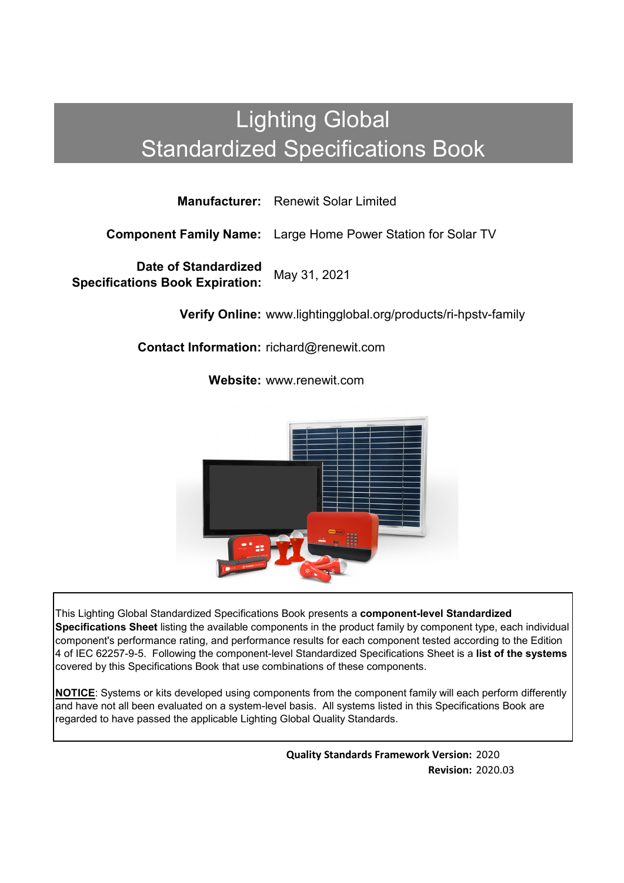# Lighting Global Standardized Specifications Book

**Manufacturer:** Renewit Solar Limited

**Component Family Name:** Large Home Power Station for Solar TV

**Date of Standardized Specifications Book Expiration:** May 31, 2021

**Verify Online:** www.lightingglobal.org/products/ri-hpstv-family

**Contact Information:** richard@renewit.com

**Website:** www.renewit.com



This Lighting Global Standardized Specifications Book presents a **component-level Standardized Specifications Sheet** listing the available components in the product family by component type, each individual component's performance rating, and performance results for each component tested according to the Edition 4 of IEC 62257-9-5. Following the component-level Standardized Specifications Sheet is a **list of the systems**  covered by this Specifications Book that use combinations of these components.

**NOTICE**: Systems or kits developed using components from the component family will each perform differently and have not all been evaluated on a system-level basis. All systems listed in this Specifications Book are regarded to have passed the applicable Lighting Global Quality Standards.

> **Quality Standards Framework Version:** 2020 **Revision:** 2020.03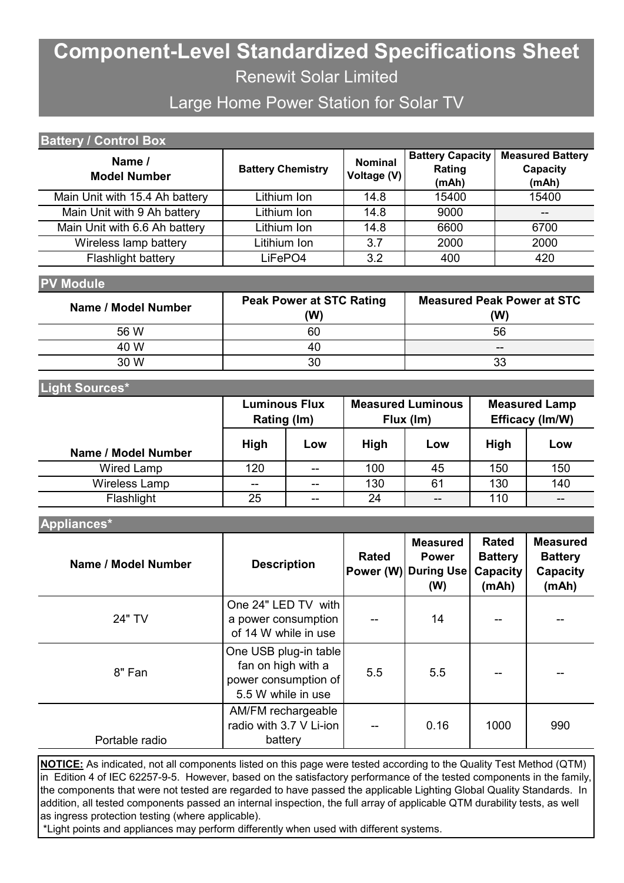## **Component-Level Standardized Specifications Sheet** Renewit Solar Limited

### Large Home Power Station for Solar TV

| <b>Battery Capacity</b><br>Name /<br><b>Nominal</b>                     | <b>Battery / Control Box</b> |                          |        |                                     |  |  |
|-------------------------------------------------------------------------|------------------------------|--------------------------|--------|-------------------------------------|--|--|
| Voltage (V)<br><b>Model Number</b><br>(mAh)<br>(mAh)                    |                              | <b>Battery Chemistry</b> | Rating | <b>Measured Battery</b><br>Capacity |  |  |
| Main Unit with 15.4 Ah battery<br>15400<br>15400<br>Lithium Ion<br>14.8 |                              |                          |        |                                     |  |  |
| Main Unit with 9 Ah battery<br>Lithium Ion<br>14.8<br>9000<br>--        |                              |                          |        |                                     |  |  |
| Main Unit with 6.6 Ah battery<br>Lithium Ion<br>6600<br>14.8<br>6700    |                              |                          |        |                                     |  |  |
| Wireless lamp battery<br>Litihium Ion<br>3.7<br>2000<br>2000            |                              |                          |        |                                     |  |  |
| Flashlight battery<br>3.2<br>LiFePO4<br>420<br>400                      |                              |                          |        |                                     |  |  |

#### **PV Module**

| Name / Model Number | <b>Peak Power at STC Rating</b><br>(W) | <b>Measured Peak Power at STC</b><br>(W) |
|---------------------|----------------------------------------|------------------------------------------|
| 56 W                | 60                                     | 56                                       |
| 40 W                | 40                                     | $- -$                                    |
| 30 W                | 30                                     | 33                                       |

#### **Light Sources\***

|                     | <b>Luminous Flux</b><br>Rating (Im) |       |     | <b>Measured Luminous</b><br>Flux (Im) | <b>Measured Lamp</b><br>Efficacy (Im/W) |     |  |
|---------------------|-------------------------------------|-------|-----|---------------------------------------|-----------------------------------------|-----|--|
| Name / Model Number | <b>High</b>                         | Low   |     | Low                                   | <b>High</b>                             | Low |  |
| Wired Lamp          | 120                                 | $- -$ | 100 | 45                                    | 150                                     | 150 |  |
| Wireless Lamp       | $\sim$ $\sim$                       | $- -$ | 130 | 61                                    | 130                                     | 140 |  |
| Flashlight          | 25                                  | --    | 24  | $- -$                                 | 110                                     | --  |  |

#### **Appliances\***

| Name / Model Number | <b>Description</b>                                                                        | <b>Rated</b> | <b>Measured</b><br><b>Power</b><br><b>Power (W) During Use</b><br>(W) | <b>Rated</b><br><b>Battery</b><br>Capacity<br>(mAh) | <b>Measured</b><br><b>Battery</b><br><b>Capacity</b><br>(mAh) |
|---------------------|-------------------------------------------------------------------------------------------|--------------|-----------------------------------------------------------------------|-----------------------------------------------------|---------------------------------------------------------------|
| 24" TV              | One 24" LED TV with<br>a power consumption<br>of 14 W while in use                        |              | 14                                                                    |                                                     |                                                               |
| 8" Fan              | One USB plug-in table<br>fan on high with a<br>power consumption of<br>5.5 W while in use | 5.5          | 5.5                                                                   |                                                     |                                                               |
| Portable radio      | AM/FM rechargeable<br>radio with 3.7 V Li-ion<br>battery                                  |              | 0.16                                                                  | 1000                                                | 990                                                           |

**NOTICE:** As indicated, not all components listed on this page were tested according to the Quality Test Method (QTM) in Edition 4 of IEC 62257-9-5. However, based on the satisfactory performance of the tested components in the family, the components that were not tested are regarded to have passed the applicable Lighting Global Quality Standards. In addition, all tested components passed an internal inspection, the full array of applicable QTM durability tests, as well as ingress protection testing (where applicable).

\*Light points and appliances may perform differently when used with different systems.